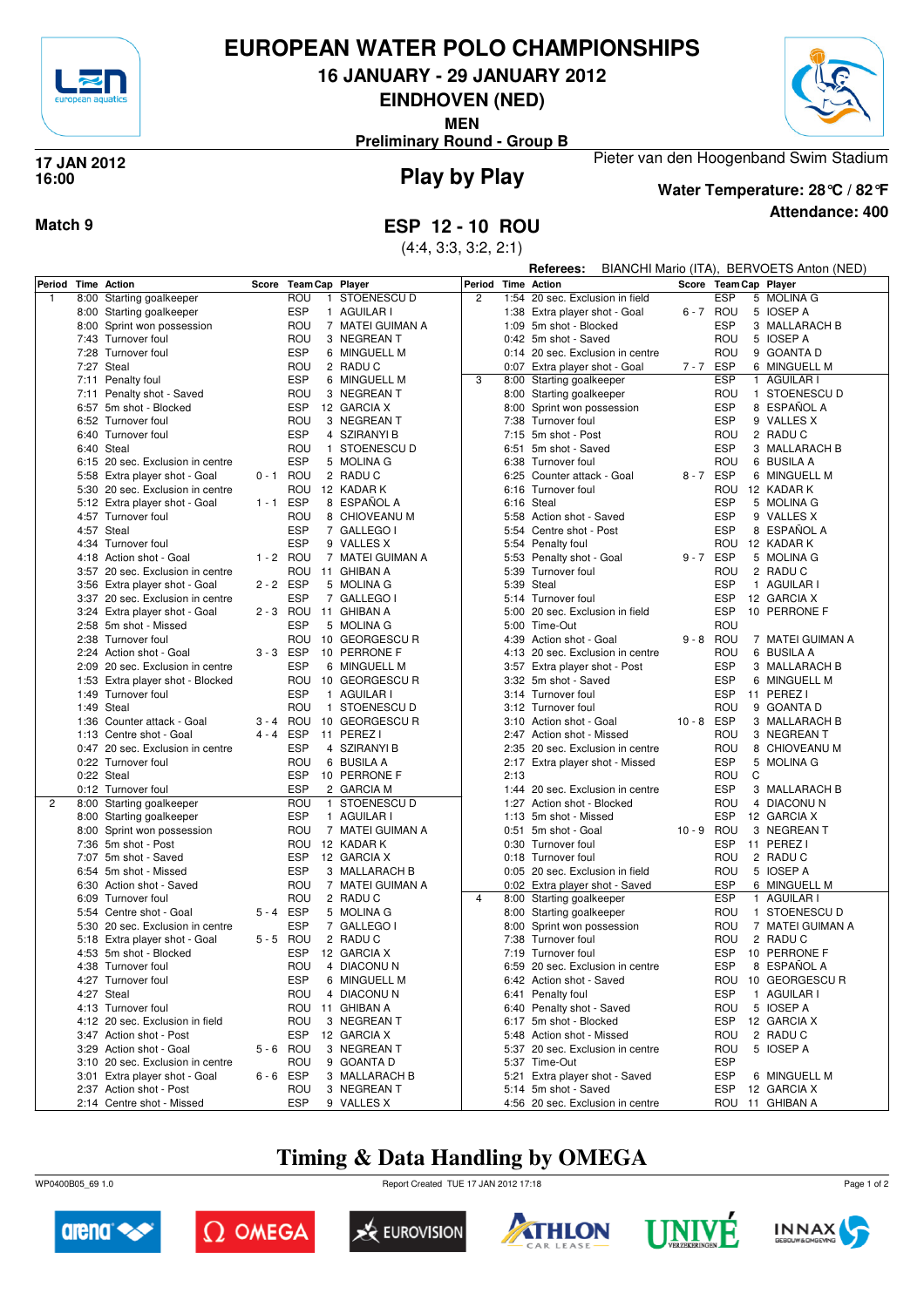

### **EUROPEAN WATER POLO CHAMPIONSHIPS**

**16 JANUARY - 29 JANUARY 2012**

**EINDHOVEN (NED)**

**MEN**



**Preliminary Round - Group B**

### **Play by Play 17 JAN 2012 16:00**



**Water Temperature: 28°C / 82°F**

Pieter van den Hoogenband Swim Stadium

**Attendance: 400**

(4:4, 3:3, 3:2, 2:1)

|              |                                  |             |                        |                  |                |      | Referees:                                             | BIANCHI Mario (ITA), BERVOETS Anton (NED) |            |                       |
|--------------|----------------------------------|-------------|------------------------|------------------|----------------|------|-------------------------------------------------------|-------------------------------------------|------------|-----------------------|
| Period       | <b>Time Action</b>               | Score       | <b>Team Cap Player</b> |                  | Period         |      | <b>Time Action</b>                                    |                                           |            | Score Team Cap Player |
| $\mathbf{1}$ | 8:00 Starting goalkeeper         |             | ROU                    | 1 STOENESCU D    | $\overline{2}$ |      | 1:54 20 sec. Exclusion in field                       |                                           | ESP        | 5 MOLINA G            |
|              | 8:00 Starting goalkeeper         |             | <b>ESP</b>             | 1 AGUILAR I      |                |      | 1:38 Extra player shot - Goal                         |                                           | 6-7 ROU    | 5 IOSEP A             |
|              | 8:00 Sprint won possession       |             | ROU                    | 7 MATEI GUIMAN A |                |      | 1:09 5m shot - Blocked                                |                                           | <b>ESP</b> | 3 MALLARACH B         |
|              | 7:43 Turnover foul               |             | ROU                    | 3 NEGREAN T      |                |      | 0:42 5m shot - Saved                                  |                                           | ROU        | 5 IOSEP A             |
|              | 7:28 Turnover foul               |             | <b>ESP</b>             | 6 MINGUELL M     |                |      | 0:14 20 sec. Exclusion in centre                      |                                           | ROU        | 9 GOANTA D            |
|              | 7:27 Steal                       |             | ROU                    | 2 RADU C         |                |      | 0:07 Extra player shot - Goal                         | 7-7 ESP                                   |            | 6 MINGUELL M          |
|              | 7:11 Penalty foul                |             | <b>ESP</b>             | 6 MINGUELL M     | 3              |      | 8:00 Starting goalkeeper                              |                                           | <b>ESP</b> | 1 AGUILAR I           |
|              | 7:11 Penalty shot - Saved        |             | ROU                    | 3 NEGREAN T      |                |      | 8:00 Starting goalkeeper                              |                                           | ROU        | 1 STOENESCU D         |
|              | 6:57 5m shot - Blocked           |             | <b>ESP</b>             | 12 GARCIA X      |                |      | 8:00 Sprint won possession                            |                                           | <b>ESP</b> | 8 ESPAÑOL A           |
|              | 6:52 Turnover foul               |             | ROU                    | 3 NEGREAN T      |                |      | 7:38 Turnover foul                                    |                                           | <b>ESP</b> | 9 VALLES X            |
|              | 6:40 Turnover foul               |             | <b>ESP</b>             | 4 SZIRANYI B     |                |      | 7:15 5m shot - Post                                   |                                           | ROU        | 2 RADU C              |
|              | 6:40 Steal                       |             | ROU                    | 1 STOENESCU D    |                |      | 6:51 5m shot - Saved                                  |                                           | <b>ESP</b> | 3 MALLARACH B         |
|              | 6:15 20 sec. Exclusion in centre |             | <b>ESP</b>             | 5 MOLINA G       |                |      | 6:38 Turnover foul                                    |                                           | ROU        | 6 BUSILA A            |
|              | 5:58 Extra player shot - Goal    | 0-1 ROU     |                        | 2 RADU C         |                |      | 6:25 Counter attack - Goal                            | 8-7 ESP                                   |            | 6 MINGUELL M          |
|              | 5:30 20 sec. Exclusion in centre |             | ROU                    | 12 KADAR K       |                | 6:16 | Turnover foul                                         |                                           | ROU        | 12 KADAR K            |
|              | 5:12 Extra player shot - Goal    | $1 - 1$     | ESP                    | 8 ESPAÑOL A      |                |      | 6:16 Steal                                            |                                           | <b>ESP</b> | 5 MOLINA G            |
|              | 4:57 Turnover foul               |             | ROU                    | 8 CHIOVEANU M    |                |      | 5:58 Action shot - Saved                              |                                           | <b>ESP</b> | 9 VALLES X            |
|              | 4:57 Steal                       |             | <b>ESP</b>             | 7 GALLEGO I      |                |      | 5:54 Centre shot - Post                               |                                           | <b>ESP</b> | 8 ESPAÑOL A           |
|              | 4:34 Turnover foul               |             | <b>ESP</b>             | 9 VALLES X       |                |      | 5:54 Penalty foul                                     |                                           | ROU        | 12 KADAR K            |
|              | 4:18 Action shot - Goal          | 1 - 2 ROU   |                        | 7 MATEI GUIMAN A |                |      | 5:53 Penalty shot - Goal                              | 9-7 ESP                                   |            | 5 MOLINA G            |
|              | 3:57 20 sec. Exclusion in centre |             | ROU                    | 11 GHIBAN A      |                |      | 5:39 Turnover foul                                    |                                           | ROU        | 2 RADU C              |
|              | 3:56 Extra player shot - Goal    | 2-2 ESP     |                        | 5 MOLINA G       |                |      | 5:39 Steal                                            |                                           | <b>ESP</b> | 1 AGUILAR I           |
|              | 3:37 20 sec. Exclusion in centre |             | <b>ESP</b>             | 7 GALLEGO I      |                |      | 5:14 Turnover foul                                    |                                           | <b>ESP</b> | 12 GARCIA X           |
|              | 3:24 Extra player shot - Goal    | $2 - 3$ ROU |                        | 11 GHIBAN A      |                |      | 5:00 20 sec. Exclusion in field                       |                                           | <b>ESP</b> | 10 PERRONE F          |
|              | 2:58 5m shot - Missed            |             | <b>ESP</b>             | 5 MOLINA G       |                |      | 5:00 Time-Out                                         |                                           | ROU        |                       |
|              | 2:38 Turnover foul               |             | ROU                    | 10 GEORGESCU R   |                |      | 4:39 Action shot - Goal                               | $9 - 8$ ROU                               |            | 7 MATEI GUIMAN A      |
|              | 2:24 Action shot - Goal          | 3-3 ESP     |                        | 10 PERRONE F     |                |      | 4:13 20 sec. Exclusion in centre                      |                                           | ROU        | 6 BUSILA A            |
|              | 2:09 20 sec. Exclusion in centre |             | <b>ESP</b>             | 6 MINGUELL M     |                |      |                                                       |                                           | <b>ESP</b> | 3 MALLARACH B         |
|              | 1:53 Extra player shot - Blocked |             | ROU                    | 10 GEORGESCU R   |                |      | 3:57 Extra player shot - Post<br>3:32 5m shot - Saved |                                           | <b>ESP</b> | 6 MINGUELL M          |
|              | 1:49 Turnover foul               |             | <b>ESP</b>             |                  |                |      | 3:14 Turnover foul                                    |                                           | <b>ESP</b> | 11 PEREZ I            |
|              |                                  |             |                        | 1 AGUILAR I      |                |      |                                                       |                                           | ROU        |                       |
|              | 1:49 Steal                       |             | ROU                    | 1 STOENESCU D    |                |      | 3:12 Turnover foul                                    | 10-8 ESP                                  |            | 9 GOANTA D            |
|              | 1:36 Counter attack - Goal       | $3 - 4$ ROU |                        | 10 GEORGESCU R   |                | 3:10 | Action shot - Goal                                    |                                           |            | 3 MALLARACH B         |
|              | 1:13 Centre shot - Goal          | 4-4 ESP     |                        | 11 PEREZ I       |                |      | 2:47 Action shot - Missed                             |                                           | ROU        | 3 NEGREAN T           |
|              | 0:47 20 sec. Exclusion in centre |             | <b>ESP</b>             | 4 SZIRANYI B     |                |      | 2:35 20 sec. Exclusion in centre                      |                                           | ROU        | 8 CHIOVEANU M         |
|              | 0:22 Turnover foul               |             | ROU                    | 6 BUSILA A       |                |      | 2:17 Extra player shot - Missed                       |                                           | <b>ESP</b> | 5 MOLINA G            |
|              | 0:22 Steal                       |             | <b>ESP</b>             | 10 PERRONE F     |                | 2:13 |                                                       |                                           | ROU        | C                     |
|              | 0:12 Turnover foul               |             | <b>ESP</b>             | 2 GARCIA M       |                |      | 1:44 20 sec. Exclusion in centre                      |                                           | <b>ESP</b> | 3 MALLARACH B         |
| 2            | 8:00 Starting goalkeeper         |             | ROU                    | 1 STOENESCU D    |                |      | 1:27 Action shot - Blocked                            |                                           | ROU        | 4 DIACONUN            |
|              | 8:00 Starting goalkeeper         |             | <b>ESP</b>             | 1 AGUILAR I      |                |      | 1:13 5m shot - Missed                                 |                                           | <b>ESP</b> | 12 GARCIA X           |
|              | 8:00 Sprint won possession       |             | ROU                    | 7 MATEI GUIMAN A |                |      | 0:51 5m shot - Goal                                   | 10-9 ROU                                  |            | 3 NEGREAN T           |
|              | 7:36 5m shot - Post              |             | ROU                    | 12 KADAR K       |                |      | 0:30 Turnover foul                                    |                                           | <b>ESP</b> | 11 PEREZ I            |
|              | 7:07 5m shot - Saved             |             | <b>ESP</b>             | 12 GARCIA X      |                |      | 0:18 Turnover foul                                    |                                           | ROU        | 2 RADU C              |
|              | 6:54 5m shot - Missed            |             | <b>ESP</b>             | 3 MALLARACH B    |                |      | 0:05 20 sec. Exclusion in field                       |                                           | ROU        | 5 IOSEP A             |
|              | 6:30 Action shot - Saved         |             | ROU                    | 7 MATEI GUIMAN A |                |      | 0:02 Extra player shot - Saved                        |                                           | <b>ESP</b> | 6 MINGUELL M          |
|              | 6:09 Turnover foul               |             | ROU                    | 2 RADU C         | $\overline{4}$ |      | 8:00 Starting goalkeeper                              |                                           | <b>ESP</b> | 1 AGUILAR I           |
|              | 5:54 Centre shot - Goal          | 5-4 ESP     |                        | 5 MOLINA G       |                |      | 8:00 Starting goalkeeper                              |                                           | ROU        | 1 STOENESCU D         |
|              | 5:30 20 sec. Exclusion in centre |             | <b>ESP</b>             | 7 GALLEGO I      |                |      | 8:00 Sprint won possession                            |                                           | ROU        | 7 MATEI GUIMAN A      |
|              | 5:18 Extra player shot - Goal    | $5 - 5$ ROU |                        | 2 RADU C         |                |      | 7:38 Turnover foul                                    |                                           | ROU        | 2 RADU C              |
|              | 4:53 5m shot - Blocked           |             | ESP                    | 12 GARCIA X      |                |      | 7:19 Turnover foul                                    |                                           |            | ESP 10 PERRONE F      |
|              | 4:38 Turnover foul               |             | ROU                    | 4 DIACONUN       |                |      | 6:59 20 sec. Exclusion in centre                      |                                           | ESP        | 8 ESPAÑOL A           |
|              | 4:27 Turnover foul               |             | ESP                    | 6 MINGUELL M     |                |      | 6:42 Action shot - Saved                              |                                           | ROU        | 10 GEORGESCU R        |
|              | 4:27 Steal                       |             | ROU                    | 4 DIACONUN       |                |      | 6:41 Penalty foul                                     |                                           | <b>ESP</b> | 1 AGUILAR I           |
|              | 4:13 Turnover foul               |             |                        | ROU 11 GHIBAN A  |                |      | 6:40 Penalty shot - Saved                             |                                           | ROU        | 5 IOSEP A             |
|              | 4:12 20 sec. Exclusion in field  |             | ROU                    | 3 NEGREAN T      |                |      | 6:17 5m shot - Blocked                                |                                           | <b>ESP</b> | 12 GARCIA X           |
|              | 3:47 Action shot - Post          |             | ESP                    | 12 GARCIA X      |                |      | 5:48 Action shot - Missed                             |                                           | ROU        | 2 RADU C              |
|              | 3:29 Action shot - Goal          | 5-6 ROU     |                        | 3 NEGREAN T      |                |      | 5:37 20 sec. Exclusion in centre                      |                                           | ROU        | 5 IOSEP A             |
|              | 3:10 20 sec. Exclusion in centre |             | ROU                    | 9 GOANTA D       |                |      | 5:37 Time-Out                                         |                                           | <b>ESP</b> |                       |
|              | 3:01 Extra player shot - Goal    | 6-6 ESP     |                        | 3 MALLARACH B    |                |      | 5:21 Extra player shot - Saved                        |                                           | ESP        | 6 MINGUELL M          |
|              | 2:37 Action shot - Post          |             | ROU                    | 3 NEGREAN T      |                |      | 5:14 5m shot - Saved                                  |                                           | ESP        | 12 GARCIA X           |
|              | 2:14 Centre shot - Missed        |             | ESP                    | 9 VALLES X       |                |      | 4:56 20 sec. Exclusion in centre                      |                                           |            | ROU 11 GHIBAN A       |

## **Timing & Data Handling by OMEGA**

WP0400B05\_69 1.0 Report Created TUE 17 JAN 2012 17:18













Page 1 of 2